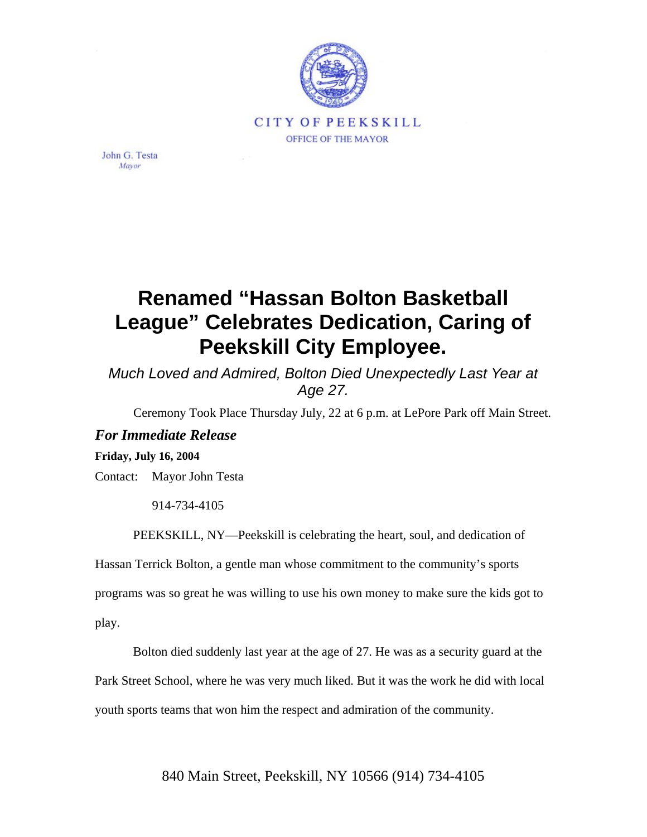

John G. Testa Mayor

## **Renamed "Hassan Bolton Basketball League" Celebrates Dedication, Caring of Peekskill City Employee.**

*Much Loved and Admired, Bolton Died Unexpectedly Last Year at Age 27.*

Ceremony Took Place Thursday July, 22 at 6 p.m. at LePore Park off Main Street.

## *For Immediate Release*

## **Friday, July 16, 2004**

Contact: Mayor John Testa

914-734-4105

PEEKSKILL, NY—Peekskill is celebrating the heart, soul, and dedication of

Hassan Terrick Bolton, a gentle man whose commitment to the community's sports

programs was so great he was willing to use his own money to make sure the kids got to

play.

Bolton died suddenly last year at the age of 27. He was as a security guard at the

Park Street School, where he was very much liked. But it was the work he did with local

youth sports teams that won him the respect and admiration of the community.

840 Main Street, Peekskill, NY 10566 (914) 734-4105